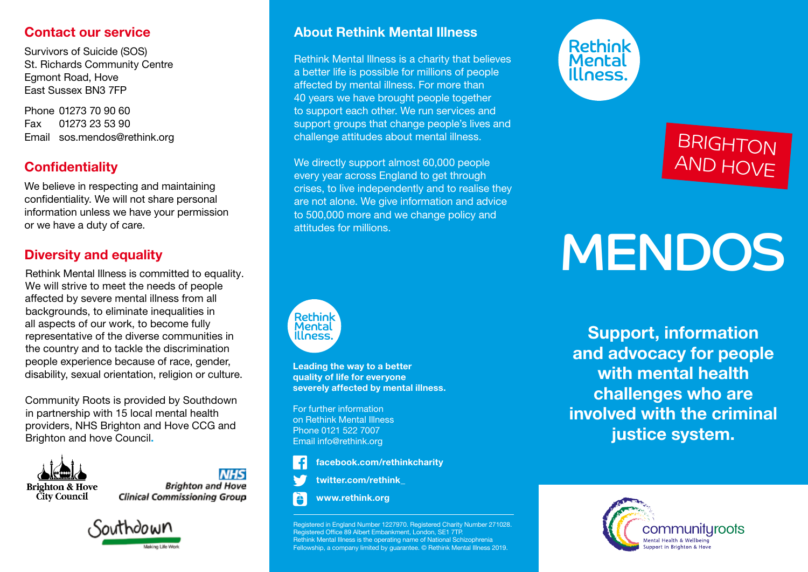#### Contact our service

Survivors of Suicide (SOS) St. Richards Community Centre Egmont Road, Hove East Sussex BN3 7FP

Phone 01273 70 90 60 Fax 01273 23 53 90 Email sos.mendos@rethink.org

### **Confidentiality**

We believe in respecting and maintaining confidentiality. We will not share personal information unless we have your permission or we have a duty of care.

#### Diversity and equality

Rethink Mental Illness is committed to equality. We will strive to meet the needs of people affected by severe mental illness from all backgrounds, to eliminate inequalities in all aspects of our work, to become fully representative of the diverse communities in the country and to tackle the discrimination people experience because of race, gender, disability, sexual orientation, religion or culture.

Community Roots is provided by Southdown in partnership with 15 local mental health providers, NHS Brighton and Hove CCG and Brighton and hove Council.



**NHS Brighton and Hove Clinical Commissioning Group** 



#### About Rethink Mental Illness

Rethink Mental Illness is a charity that believes a better life is possible for millions of people affected by mental illness. For more than 40 years we have brought people together to support each other. We run services and support groups that change people's lives and challenge attitudes about mental illness.

We directly support almost 60,000 people every year across England to get through crises, to live independently and to realise they are not alone. We give information and advice to 500,000 more and we change policy and attitudes for millions.



Leading the way to a better quality of life for everyone severely affected by mental illness.

For further information on Rethink Mental Illness Phone 0121 522 7007 Email info@rethink.org



twitter.com/rethink\_

www.rethink.org

Registered in England Number 1227970. Registered Charity Number 271028. Registered Office 89 Albert Embankment, London, SE1 7TP. Rethink Mental Illness is the operating name of National Schizophrenia Fellowship, a company limited by guarantee. © Rethink Mental Illness 2019.



# BRIGHTON AND HOVE

# MENDOS

Support, information and advocacy for people with mental health challenges who are involved with the criminal justice system.